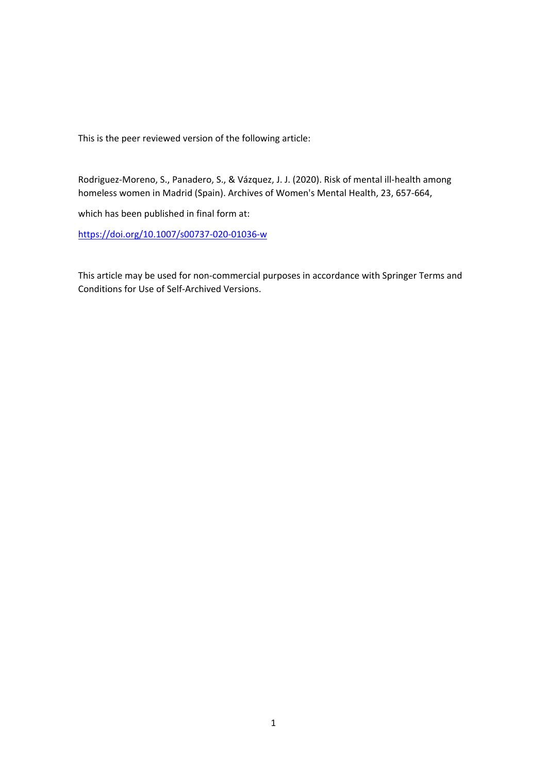This is the peer reviewed version of the following article:

Rodriguez‐Moreno, S., Panadero, S., & Vázquez, J. J. (2020). Risk of mental ill‐health among homeless women in Madrid (Spain). Archives of Women's Mental Health, 23, 657‐664,

which has been published in final form at:

https://doi.org/10.1007/s00737‐020‐01036‐w

This article may be used for non‐commercial purposes in accordance with Springer Terms and Conditions for Use of Self‐Archived Versions.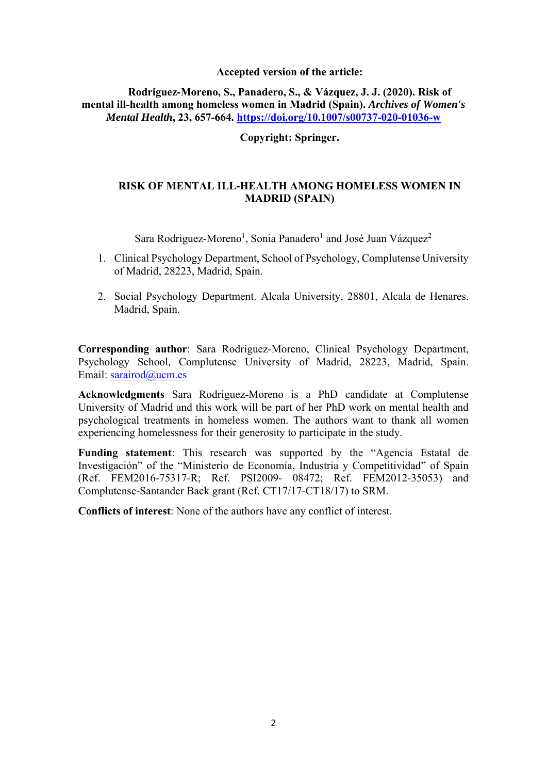# **Accepted version of the article:**

**Rodriguez-Moreno, S., Panadero, S., & Vázquez, J. J. (2020). Risk of mental ill-health among homeless women in Madrid (Spain).** *Archives of Women's Mental Health***, 23, 657-664. https://doi.org/10.1007/s00737-020-01036-w**

**Copyright: Springer.** 

# **RISK OF MENTAL ILL-HEALTH AMONG HOMELESS WOMEN IN MADRID (SPAIN)**

Sara Rodriguez-Moreno<sup>1</sup>, Sonia Panadero<sup>1</sup> and José Juan Vázquez<sup>2</sup>

- 1. Clinical Psychology Department, School of Psychology, Complutense University of Madrid, 28223, Madrid, Spain.
- 2. Social Psychology Department. Alcala University, 28801, Alcala de Henares. Madrid, Spain.

**Corresponding author**: Sara Rodriguez-Moreno, Clinical Psychology Department, Psychology School, Complutense University of Madrid, 28223, Madrid, Spain. Email: sarairod@ucm.es

**Acknowledgments** Sara Rodriguez-Moreno is a PhD candidate at Complutense University of Madrid and this work will be part of her PhD work on mental health and psychological treatments in homeless women. The authors want to thank all women experiencing homelessness for their generosity to participate in the study.

**Funding statement**: This research was supported by the "Agencia Estatal de Investigación" of the "Ministerio de Economía, Industria y Competitividad" of Spain (Ref. FEM2016-75317-R; Ref. PSI2009- 08472; Ref. FEM2012-35053) and Complutense-Santander Back grant (Ref. CT17/17-CT18/17) to SRM.

**Conflicts of interest**: None of the authors have any conflict of interest.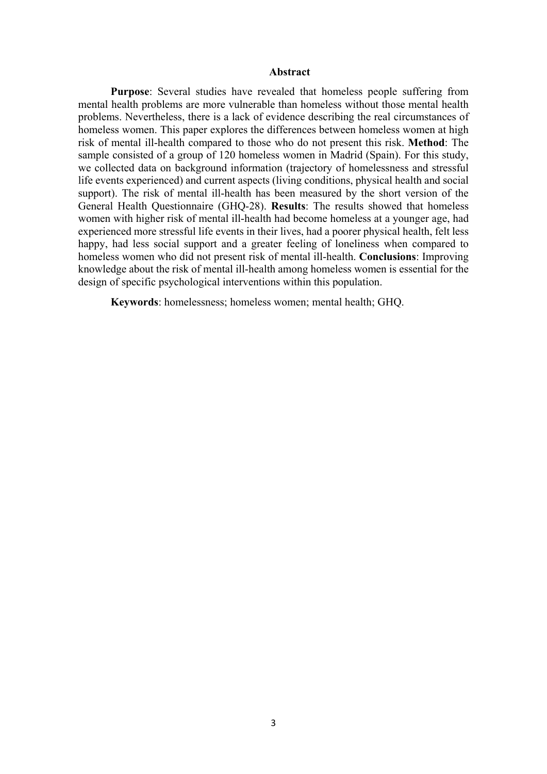#### **Abstract**

**Purpose**: Several studies have revealed that homeless people suffering from mental health problems are more vulnerable than homeless without those mental health problems. Nevertheless, there is a lack of evidence describing the real circumstances of homeless women. This paper explores the differences between homeless women at high risk of mental ill-health compared to those who do not present this risk. **Method**: The sample consisted of a group of 120 homeless women in Madrid (Spain). For this study, we collected data on background information (trajectory of homelessness and stressful life events experienced) and current aspects (living conditions, physical health and social support). The risk of mental ill-health has been measured by the short version of the General Health Questionnaire (GHQ-28). **Results**: The results showed that homeless women with higher risk of mental ill-health had become homeless at a younger age, had experienced more stressful life events in their lives, had a poorer physical health, felt less happy, had less social support and a greater feeling of loneliness when compared to homeless women who did not present risk of mental ill-health. **Conclusions**: Improving knowledge about the risk of mental ill-health among homeless women is essential for the design of specific psychological interventions within this population.

**Keywords**: homelessness; homeless women; mental health; GHQ.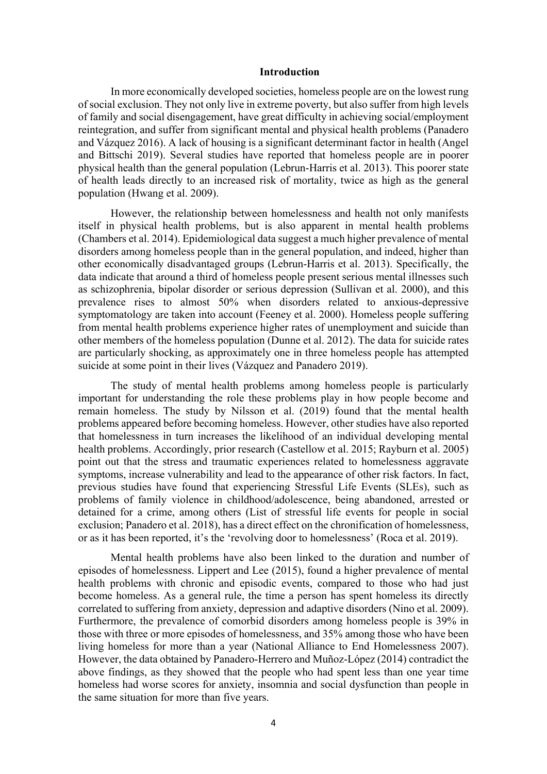#### **Introduction**

In more economically developed societies, homeless people are on the lowest rung of social exclusion. They not only live in extreme poverty, but also suffer from high levels of family and social disengagement, have great difficulty in achieving social/employment reintegration, and suffer from significant mental and physical health problems (Panadero and Vázquez 2016). A lack of housing is a significant determinant factor in health (Angel and Bittschi 2019). Several studies have reported that homeless people are in poorer physical health than the general population (Lebrun-Harris et al. 2013). This poorer state of health leads directly to an increased risk of mortality, twice as high as the general population (Hwang et al. 2009).

However, the relationship between homelessness and health not only manifests itself in physical health problems, but is also apparent in mental health problems (Chambers et al. 2014). Epidemiological data suggest a much higher prevalence of mental disorders among homeless people than in the general population, and indeed, higher than other economically disadvantaged groups (Lebrun-Harris et al. 2013). Specifically, the data indicate that around a third of homeless people present serious mental illnesses such as schizophrenia, bipolar disorder or serious depression (Sullivan et al. 2000), and this prevalence rises to almost 50% when disorders related to anxious-depressive symptomatology are taken into account (Feeney et al. 2000). Homeless people suffering from mental health problems experience higher rates of unemployment and suicide than other members of the homeless population (Dunne et al. 2012). The data for suicide rates are particularly shocking, as approximately one in three homeless people has attempted suicide at some point in their lives (Vázquez and Panadero 2019).

The study of mental health problems among homeless people is particularly important for understanding the role these problems play in how people become and remain homeless. The study by Nilsson et al. (2019) found that the mental health problems appeared before becoming homeless. However, other studies have also reported that homelessness in turn increases the likelihood of an individual developing mental health problems. Accordingly, prior research (Castellow et al. 2015; Rayburn et al. 2005) point out that the stress and traumatic experiences related to homelessness aggravate symptoms, increase vulnerability and lead to the appearance of other risk factors. In fact, previous studies have found that experiencing Stressful Life Events (SLEs), such as problems of family violence in childhood/adolescence, being abandoned, arrested or detained for a crime, among others (List of stressful life events for people in social exclusion; Panadero et al. 2018), has a direct effect on the chronification of homelessness, or as it has been reported, it's the 'revolving door to homelessness' (Roca et al. 2019).

Mental health problems have also been linked to the duration and number of episodes of homelessness. Lippert and Lee (2015), found a higher prevalence of mental health problems with chronic and episodic events, compared to those who had just become homeless. As a general rule, the time a person has spent homeless its directly correlated to suffering from anxiety, depression and adaptive disorders (Nino et al. 2009). Furthermore, the prevalence of comorbid disorders among homeless people is 39% in those with three or more episodes of homelessness, and 35% among those who have been living homeless for more than a year (National Alliance to End Homelessness 2007). However, the data obtained by Panadero-Herrero and Muñoz-López (2014) contradict the above findings, as they showed that the people who had spent less than one year time homeless had worse scores for anxiety, insomnia and social dysfunction than people in the same situation for more than five years.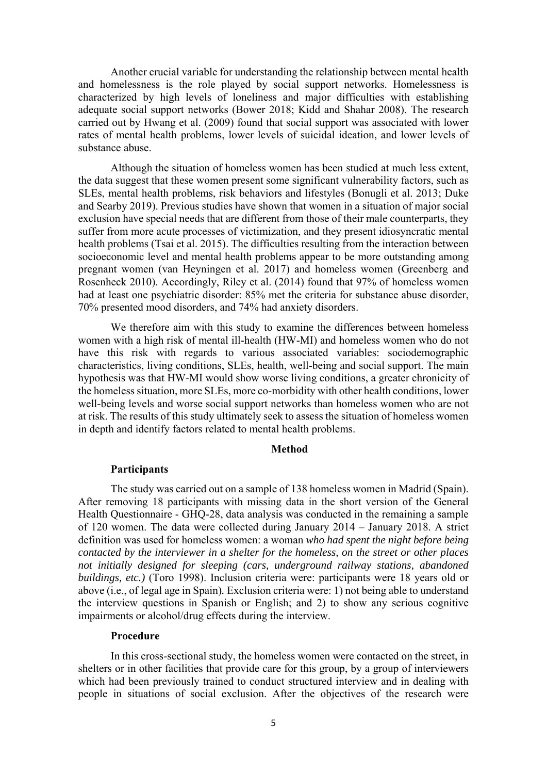Another crucial variable for understanding the relationship between mental health and homelessness is the role played by social support networks. Homelessness is characterized by high levels of loneliness and major difficulties with establishing adequate social support networks (Bower 2018; Kidd and Shahar 2008). The research carried out by Hwang et al. (2009) found that social support was associated with lower rates of mental health problems, lower levels of suicidal ideation, and lower levels of substance abuse.

Although the situation of homeless women has been studied at much less extent, the data suggest that these women present some significant vulnerability factors, such as SLEs, mental health problems, risk behaviors and lifestyles (Bonugli et al. 2013; Duke and Searby 2019). Previous studies have shown that women in a situation of major social exclusion have special needs that are different from those of their male counterparts, they suffer from more acute processes of victimization, and they present idiosyncratic mental health problems (Tsai et al. 2015). The difficulties resulting from the interaction between socioeconomic level and mental health problems appear to be more outstanding among pregnant women (van Heyningen et al. 2017) and homeless women (Greenberg and Rosenheck 2010). Accordingly, Riley et al. (2014) found that 97% of homeless women had at least one psychiatric disorder: 85% met the criteria for substance abuse disorder, 70% presented mood disorders, and 74% had anxiety disorders.

We therefore aim with this study to examine the differences between homeless women with a high risk of mental ill-health (HW-MI) and homeless women who do not have this risk with regards to various associated variables: sociodemographic characteristics, living conditions, SLEs, health, well-being and social support. The main hypothesis was that HW-MI would show worse living conditions, a greater chronicity of the homeless situation, more SLEs, more co-morbidity with other health conditions, lower well-being levels and worse social support networks than homeless women who are not at risk. The results of this study ultimately seek to assess the situation of homeless women in depth and identify factors related to mental health problems.

## **Method**

## **Participants**

The study was carried out on a sample of 138 homeless women in Madrid (Spain). After removing 18 participants with missing data in the short version of the General Health Questionnaire - GHQ-28, data analysis was conducted in the remaining a sample of 120 women. The data were collected during January 2014 – January 2018. A strict definition was used for homeless women: a woman *who had spent the night before being contacted by the interviewer in a shelter for the homeless, on the street or other places not initially designed for sleeping (cars, underground railway stations, abandoned buildings, etc.)* (Toro 1998). Inclusion criteria were: participants were 18 years old or above (i.e., of legal age in Spain)*.* Exclusion criteria were: 1) not being able to understand the interview questions in Spanish or English; and 2) to show any serious cognitive impairments or alcohol/drug effects during the interview.

## **Procedure**

In this cross-sectional study, the homeless women were contacted on the street, in shelters or in other facilities that provide care for this group, by a group of interviewers which had been previously trained to conduct structured interview and in dealing with people in situations of social exclusion. After the objectives of the research were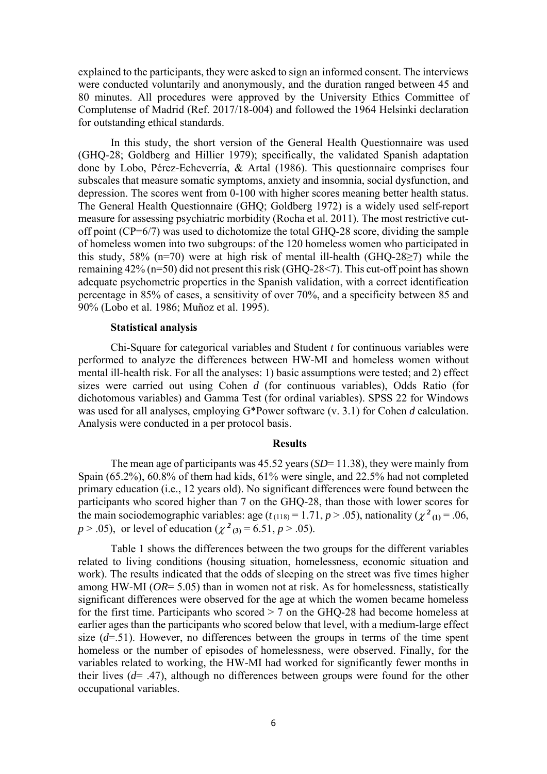explained to the participants, they were asked to sign an informed consent. The interviews were conducted voluntarily and anonymously, and the duration ranged between 45 and 80 minutes. All procedures were approved by the University Ethics Committee of Complutense of Madrid (Ref. 2017/18-004) and followed the 1964 Helsinki declaration for outstanding ethical standards.

In this study, the short version of the General Health Questionnaire was used (GHQ-28; Goldberg and Hillier 1979); specifically, the validated Spanish adaptation done by Lobo, Pérez-Echeverría, & Artal (1986). This questionnaire comprises four subscales that measure somatic symptoms, anxiety and insomnia, social dysfunction, and depression. The scores went from 0-100 with higher scores meaning better health status. The General Health Questionnaire (GHQ; Goldberg 1972) is a widely used self-report measure for assessing psychiatric morbidity (Rocha et al. 2011). The most restrictive cutoff point (CP=6/7) was used to dichotomize the total GHQ-28 score, dividing the sample of homeless women into two subgroups: of the 120 homeless women who participated in this study, 58% (n=70) were at high risk of mental ill-health (GHQ-28 $\geq$ 7) while the remaining 42% (n=50) did not present this risk (GHQ-28<7). This cut-off point has shown adequate psychometric properties in the Spanish validation, with a correct identification percentage in 85% of cases, a sensitivity of over 70%, and a specificity between 85 and 90% (Lobo et al. 1986; Muñoz et al. 1995).

#### **Statistical analysis**

Chi-Square for categorical variables and Student *t* for continuous variables were performed to analyze the differences between HW-MI and homeless women without mental ill-health risk. For all the analyses: 1) basic assumptions were tested; and 2) effect sizes were carried out using Cohen *d* (for continuous variables), Odds Ratio (for dichotomous variables) and Gamma Test (for ordinal variables). SPSS 22 for Windows was used for all analyses, employing G\*Power software (v. 3.1) for Cohen *d* calculation. Analysis were conducted in a per protocol basis.

#### **Results**

The mean age of participants was 45.52 years (*SD*= 11.38), they were mainly from Spain (65.2%), 60.8% of them had kids, 61% were single, and 22.5% had not completed primary education (i.e., 12 years old). No significant differences were found between the participants who scored higher than 7 on the GHQ-28, than those with lower scores for the main sociodemographic variables: age  $(t_{(118)} = 1.71, p > .05)$ , nationality  $(\chi^2_{(1)} = .06,$ *p* > .05), or level of education ( $\chi^2$  (3) = 6.51, *p* > .05).

Table 1 shows the differences between the two groups for the different variables related to living conditions (housing situation, homelessness, economic situation and work). The results indicated that the odds of sleeping on the street was five times higher among HW-MI (*OR*= 5.05) than in women not at risk. As for homelessness, statistically significant differences were observed for the age at which the women became homeless for the first time. Participants who scored  $> 7$  on the GHQ-28 had become homeless at earlier ages than the participants who scored below that level, with a medium-large effect size  $(d=0.51)$ . However, no differences between the groups in terms of the time spent homeless or the number of episodes of homelessness, were observed. Finally, for the variables related to working, the HW-MI had worked for significantly fewer months in their lives (*d*= .47), although no differences between groups were found for the other occupational variables.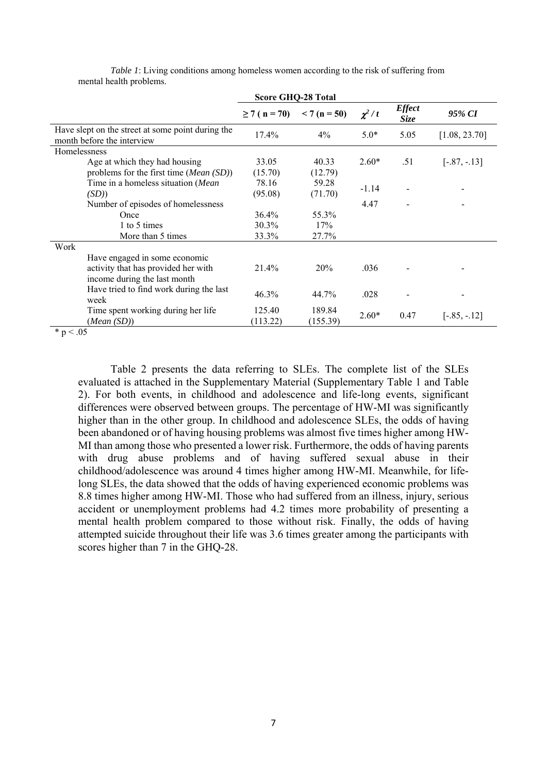|                                                                                 | <b>Score GHQ-28 Total</b> |                |            |                       |                |
|---------------------------------------------------------------------------------|---------------------------|----------------|------------|-----------------------|----------------|
|                                                                                 | $\geq 7$ ( n = 70)        | $< 7 (n = 50)$ | $\chi^2/t$ | <b>Effect</b><br>Size | 95% CI         |
| Have slept on the street at some point during the<br>month before the interview | 17.4%                     | $4\%$          | $5.0*$     | 5.05                  | [1.08, 23.70]  |
| Homelessness                                                                    |                           |                |            |                       |                |
| Age at which they had housing                                                   | 33.05                     | 40.33          | $2.60*$    | .51                   | $[-.87, -.13]$ |
| problems for the first time (Mean (SD))                                         | (15.70)                   | (12.79)        |            |                       |                |
| Time in a homeless situation (Mean                                              | 78.16                     | 59.28          |            |                       |                |
| (SD)                                                                            | (95.08)                   | (71.70)        | $-1.14$    |                       |                |
| Number of episodes of homelessness                                              |                           |                | 4.47       |                       |                |
| Once                                                                            | $36.4\%$                  | 55.3%          |            |                       |                |
| 1 to 5 times                                                                    | 30.3%                     | 17%            |            |                       |                |
| More than 5 times                                                               | 33.3%                     | 27.7%          |            |                       |                |
| Work                                                                            |                           |                |            |                       |                |
| Have engaged in some economic                                                   |                           |                |            |                       |                |
| activity that has provided her with                                             | 21.4%                     | 20%            | .036       |                       |                |
| income during the last month                                                    |                           |                |            |                       |                |
| Have tried to find work during the last<br>week                                 | 46.3%                     | 44.7%          | .028       |                       |                |
| Time spent working during her life                                              | 125.40                    | 189.84         |            |                       |                |
| (Mean(SD))                                                                      | (113.22)                  | (155.39)       | $2.60*$    | 0.47                  | $[-.85, -.12]$ |

*Table 1*: Living conditions among homeless women according to the risk of suffering from mental health problems.

 $* p < .05$ 

Table 2 presents the data referring to SLEs. The complete list of the SLEs evaluated is attached in the Supplementary Material (Supplementary Table 1 and Table 2). For both events, in childhood and adolescence and life-long events, significant differences were observed between groups. The percentage of HW-MI was significantly higher than in the other group. In childhood and adolescence SLEs, the odds of having been abandoned or of having housing problems was almost five times higher among HW-MI than among those who presented a lower risk. Furthermore, the odds of having parents with drug abuse problems and of having suffered sexual abuse in their childhood/adolescence was around 4 times higher among HW-MI. Meanwhile, for lifelong SLEs, the data showed that the odds of having experienced economic problems was 8.8 times higher among HW-MI. Those who had suffered from an illness, injury, serious accident or unemployment problems had 4.2 times more probability of presenting a mental health problem compared to those without risk. Finally, the odds of having attempted suicide throughout their life was 3.6 times greater among the participants with scores higher than 7 in the GHQ-28.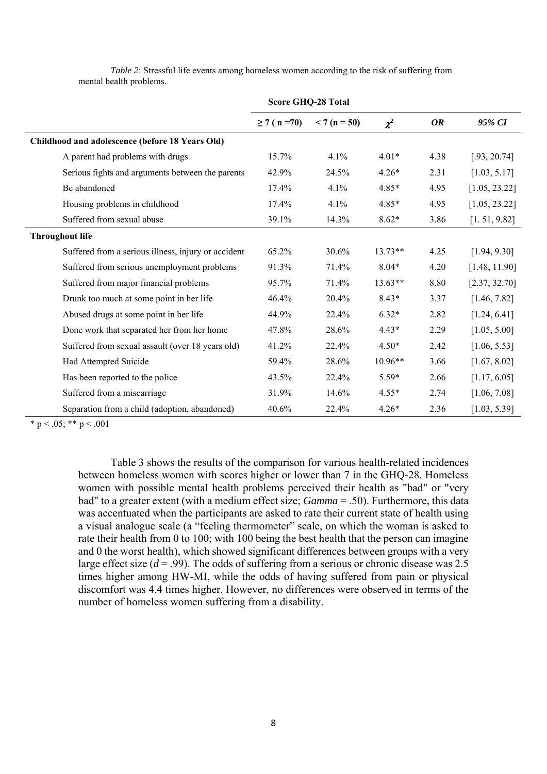|                                                     |                    | <b>Score GHQ-28 Total</b> |           |           |               |
|-----------------------------------------------------|--------------------|---------------------------|-----------|-----------|---------------|
|                                                     | $\geq 7$ ( n = 70) | $<$ 7 (n = 50)            | $\chi^2$  | <b>OR</b> | 95% CI        |
| Childhood and adolescence (before 18 Years Old)     |                    |                           |           |           |               |
| A parent had problems with drugs                    | 15.7%              | 4.1%                      | $4.01*$   | 4.38      | [.93, 20.74]  |
| Serious fights and arguments between the parents    | 42.9%              | 24.5%                     | $4.26*$   | 2.31      | [1.03, 5.17]  |
| Be abandoned                                        | 17.4%              | 4.1%                      | $4.85*$   | 4.95      | [1.05, 23.22] |
| Housing problems in childhood                       | 17.4%              | 4.1%                      | $4.85*$   | 4.95      | [1.05, 23.22] |
| Suffered from sexual abuse                          | 39.1%              | 14.3%                     | $8.62*$   | 3.86      | [1.51, 9.82]  |
| <b>Throughout life</b>                              |                    |                           |           |           |               |
| Suffered from a serious illness, injury or accident | 65.2%              | 30.6%                     | 13.73**   | 4.25      | [1.94, 9.30]  |
| Suffered from serious unemployment problems         | 91.3%              | 71.4%                     | $8.04*$   | 4.20      | [1.48, 11.90] |
| Suffered from major financial problems              | 95.7%              | 71.4%                     | $13.63**$ | 8.80      | [2.37, 32.70] |
| Drunk too much at some point in her life            | 46.4%              | 20.4%                     | $8.43*$   | 3.37      | [1.46, 7.82]  |
| Abused drugs at some point in her life              | 44.9%              | 22.4%                     | $6.32*$   | 2.82      | [1.24, 6.41]  |
| Done work that separated her from her home          | 47.8%              | 28.6%                     | $4.43*$   | 2.29      | [1.05, 5.00]  |
| Suffered from sexual assault (over 18 years old)    | 41.2%              | 22.4%                     | $4.50*$   | 2.42      | [1.06, 5.53]  |
| Had Attempted Suicide                               | 59.4%              | 28.6%                     | $10.96**$ | 3.66      | [1.67, 8.02]  |
| Has been reported to the police                     | 43.5%              | 22.4%                     | $5.59*$   | 2.66      | [1.17, 6.05]  |
| Suffered from a miscarriage                         | 31.9%              | 14.6%                     | $4.55*$   | 2.74      | [1.06, 7.08]  |
| Separation from a child (adoption, abandoned)       | 40.6%              | 22.4%                     | $4.26*$   | 2.36      | [1.03, 5.39]  |

*Table 2*: Stressful life events among homeless women according to the risk of suffering from mental health problems.

 $* p < .05; ** p < .001$ 

Table 3 shows the results of the comparison for various health-related incidences between homeless women with scores higher or lower than 7 in the GHQ-28. Homeless women with possible mental health problems perceived their health as "bad" or "very bad" to a greater extent (with a medium effect size; *Gamma* = .50). Furthermore, this data was accentuated when the participants are asked to rate their current state of health using a visual analogue scale (a "feeling thermometer" scale, on which the woman is asked to rate their health from 0 to 100; with 100 being the best health that the person can imagine and 0 the worst health), which showed significant differences between groups with a very large effect size  $(d = .99)$ . The odds of suffering from a serious or chronic disease was 2.5 times higher among HW-MI, while the odds of having suffered from pain or physical discomfort was 4.4 times higher. However, no differences were observed in terms of the number of homeless women suffering from a disability.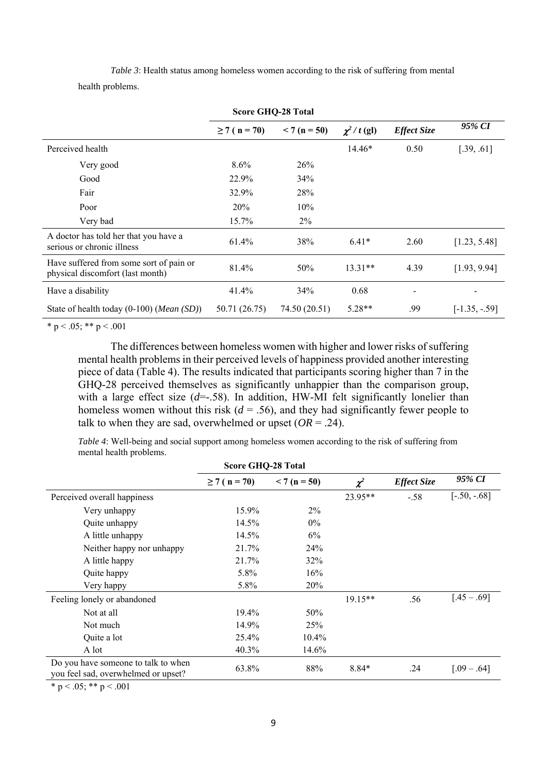*Table 3*: Health status among homeless women according to the risk of suffering from mental health problems.

|                                                                             | <b>Score GHQ-28 Total</b> |                |                 |                    |                 |
|-----------------------------------------------------------------------------|---------------------------|----------------|-----------------|--------------------|-----------------|
|                                                                             | $\geq 7$ ( n = 70)        | $< 7 (n = 50)$ | $\chi^2/t$ (gl) | <b>Effect Size</b> | 95% CI          |
| Perceived health                                                            |                           |                | $14.46*$        | 0.50               | [.39, .61]      |
| Very good                                                                   | $8.6\%$                   | 26%            |                 |                    |                 |
| Good                                                                        | 22.9%                     | 34%            |                 |                    |                 |
| Fair                                                                        | 32.9%                     | 28%            |                 |                    |                 |
| Poor                                                                        | 20%                       | 10%            |                 |                    |                 |
| Very bad                                                                    | 15.7%                     | $2\%$          |                 |                    |                 |
| A doctor has told her that you have a<br>serious or chronic illness         | 61.4%                     | 38%            | $6.41*$         | 2.60               | [1.23, 5.48]    |
| Have suffered from some sort of pain or<br>physical discomfort (last month) | 81.4%                     | 50%            | $13.31**$       | 4.39               | [1.93, 9.94]    |
| Have a disability                                                           | 41.4%                     | 34%            | 0.68            |                    |                 |
| State of health today (0-100) (Mean (SD))                                   | 50.71 (26.75)             | 74.50 (20.51)  | $5.28**$        | .99                | $[-1.35, -.59]$ |

\* p < .05; \*\* p < .001

The differences between homeless women with higher and lower risks of suffering mental health problems in their perceived levels of happiness provided another interesting piece of data (Table 4). The results indicated that participants scoring higher than 7 in the GHQ-28 perceived themselves as significantly unhappier than the comparison group, with a large effect size  $(d=-.58)$ . In addition, HW-MI felt significantly lonelier than homeless women without this risk  $(d = .56)$ , and they had significantly fewer people to talk to when they are sad, overwhelmed or upset  $(OR = .24)$ .

*Table 4*: Well-being and social support among homeless women according to the risk of suffering from mental health problems.

|                                                                            | <b>Score GHQ-28 Total</b> |                |           |                    |                |
|----------------------------------------------------------------------------|---------------------------|----------------|-----------|--------------------|----------------|
|                                                                            | $\geq 7$ ( n = 70)        | $< 7 (n = 50)$ | $\chi^2$  | <b>Effect Size</b> | 95% CI         |
| Perceived overall happiness                                                |                           |                | 23.95**   | $-.58$             | $[-.50, -.68]$ |
| Very unhappy                                                               | 15.9%                     | $2\%$          |           |                    |                |
| Quite unhappy                                                              | 14.5%                     | $0\%$          |           |                    |                |
| A little unhappy                                                           | 14.5%                     | 6%             |           |                    |                |
| Neither happy nor unhappy                                                  | 21.7%                     | 24%            |           |                    |                |
| A little happy                                                             | 21.7%                     | 32%            |           |                    |                |
| Quite happy                                                                | 5.8%                      | 16%            |           |                    |                |
| Very happy                                                                 | 5.8%                      | 20%            |           |                    |                |
| Feeling lonely or abandoned                                                |                           |                | $19.15**$ | .56                | $[.45-.69]$    |
| Not at all                                                                 | 19.4%                     | 50%            |           |                    |                |
| Not much                                                                   | 14.9%                     | 25%            |           |                    |                |
| Quite a lot                                                                | 25.4%                     | $10.4\%$       |           |                    |                |
| A lot                                                                      | 40.3%                     | 14.6%          |           |                    |                |
| Do you have someone to talk to when<br>you feel sad, overwhelmed or upset? | 63.8%                     | 88%            | $8.84*$   | .24                | $[.09 - .64]$  |

\* p < .05; \*\* p < .001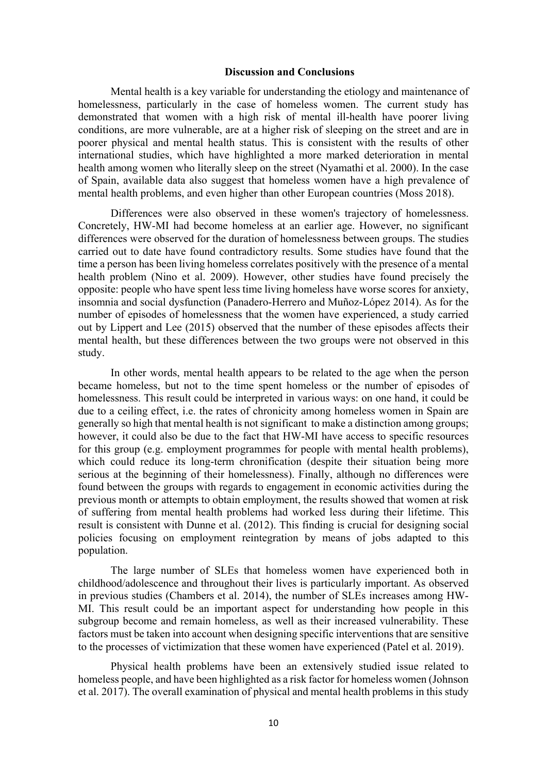### **Discussion and Conclusions**

Mental health is a key variable for understanding the etiology and maintenance of homelessness, particularly in the case of homeless women. The current study has demonstrated that women with a high risk of mental ill-health have poorer living conditions, are more vulnerable, are at a higher risk of sleeping on the street and are in poorer physical and mental health status. This is consistent with the results of other international studies, which have highlighted a more marked deterioration in mental health among women who literally sleep on the street (Nyamathi et al. 2000). In the case of Spain, available data also suggest that homeless women have a high prevalence of mental health problems, and even higher than other European countries (Moss 2018).

Differences were also observed in these women's trajectory of homelessness. Concretely, HW-MI had become homeless at an earlier age. However, no significant differences were observed for the duration of homelessness between groups. The studies carried out to date have found contradictory results. Some studies have found that the time a person has been living homeless correlates positively with the presence of a mental health problem (Nino et al. 2009). However, other studies have found precisely the opposite: people who have spent less time living homeless have worse scores for anxiety, insomnia and social dysfunction (Panadero-Herrero and Muñoz-López 2014). As for the number of episodes of homelessness that the women have experienced, a study carried out by Lippert and Lee (2015) observed that the number of these episodes affects their mental health, but these differences between the two groups were not observed in this study.

In other words, mental health appears to be related to the age when the person became homeless, but not to the time spent homeless or the number of episodes of homelessness. This result could be interpreted in various ways: on one hand, it could be due to a ceiling effect, i.e. the rates of chronicity among homeless women in Spain are generally so high that mental health is not significant to make a distinction among groups; however, it could also be due to the fact that HW-MI have access to specific resources for this group (e.g. employment programmes for people with mental health problems), which could reduce its long-term chronification (despite their situation being more serious at the beginning of their homelessness). Finally, although no differences were found between the groups with regards to engagement in economic activities during the previous month or attempts to obtain employment, the results showed that women at risk of suffering from mental health problems had worked less during their lifetime. This result is consistent with Dunne et al. (2012). This finding is crucial for designing social policies focusing on employment reintegration by means of jobs adapted to this population.

The large number of SLEs that homeless women have experienced both in childhood/adolescence and throughout their lives is particularly important. As observed in previous studies (Chambers et al. 2014), the number of SLEs increases among HW-MI. This result could be an important aspect for understanding how people in this subgroup become and remain homeless, as well as their increased vulnerability. These factors must be taken into account when designing specific interventions that are sensitive to the processes of victimization that these women have experienced (Patel et al. 2019).

Physical health problems have been an extensively studied issue related to homeless people, and have been highlighted as a risk factor for homeless women (Johnson et al. 2017). The overall examination of physical and mental health problems in this study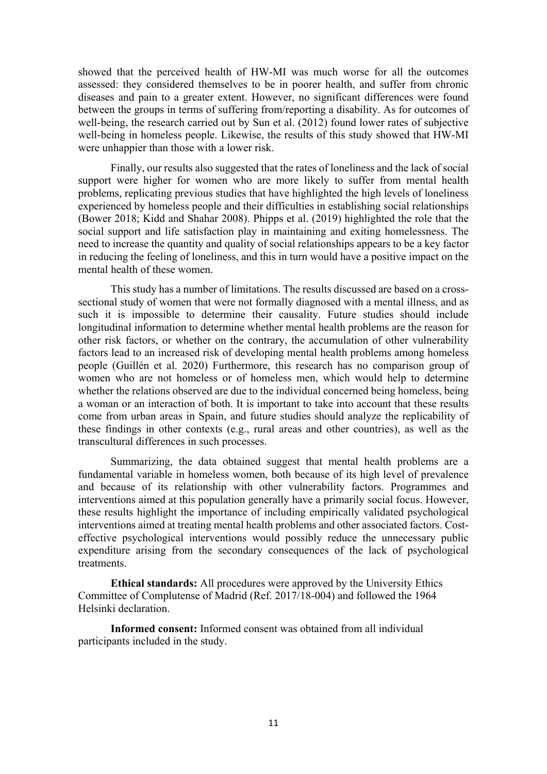showed that the perceived health of HW-MI was much worse for all the outcomes assessed: they considered themselves to be in poorer health, and suffer from chronic diseases and pain to a greater extent. However, no significant differences were found between the groups in terms of suffering from/reporting a disability. As for outcomes of well-being, the research carried out by Sun et al. (2012) found lower rates of subjective well-being in homeless people. Likewise, the results of this study showed that HW-MI were unhappier than those with a lower risk.

Finally, our results also suggested that the rates of loneliness and the lack of social support were higher for women who are more likely to suffer from mental health problems, replicating previous studies that have highlighted the high levels of loneliness experienced by homeless people and their difficulties in establishing social relationships (Bower 2018; Kidd and Shahar 2008). Phipps et al. (2019) highlighted the role that the social support and life satisfaction play in maintaining and exiting homelessness. The need to increase the quantity and quality of social relationships appears to be a key factor in reducing the feeling of loneliness, and this in turn would have a positive impact on the mental health of these women.

This study has a number of limitations. The results discussed are based on a crosssectional study of women that were not formally diagnosed with a mental illness, and as such it is impossible to determine their causality. Future studies should include longitudinal information to determine whether mental health problems are the reason for other risk factors, or whether on the contrary, the accumulation of other vulnerability factors lead to an increased risk of developing mental health problems among homeless people (Guillén et al. 2020) Furthermore, this research has no comparison group of women who are not homeless or of homeless men, which would help to determine whether the relations observed are due to the individual concerned being homeless, being a woman or an interaction of both. It is important to take into account that these results come from urban areas in Spain, and future studies should analyze the replicability of these findings in other contexts (e.g., rural areas and other countries), as well as the transcultural differences in such processes.

Summarizing, the data obtained suggest that mental health problems are a fundamental variable in homeless women, both because of its high level of prevalence and because of its relationship with other vulnerability factors. Programmes and interventions aimed at this population generally have a primarily social focus. However, these results highlight the importance of including empirically validated psychological interventions aimed at treating mental health problems and other associated factors. Costeffective psychological interventions would possibly reduce the unnecessary public expenditure arising from the secondary consequences of the lack of psychological treatments.

**Ethical standards:** All procedures were approved by the University Ethics Committee of Complutense of Madrid (Ref. 2017/18-004) and followed the 1964 Helsinki declaration.

**Informed consent:** Informed consent was obtained from all individual participants included in the study.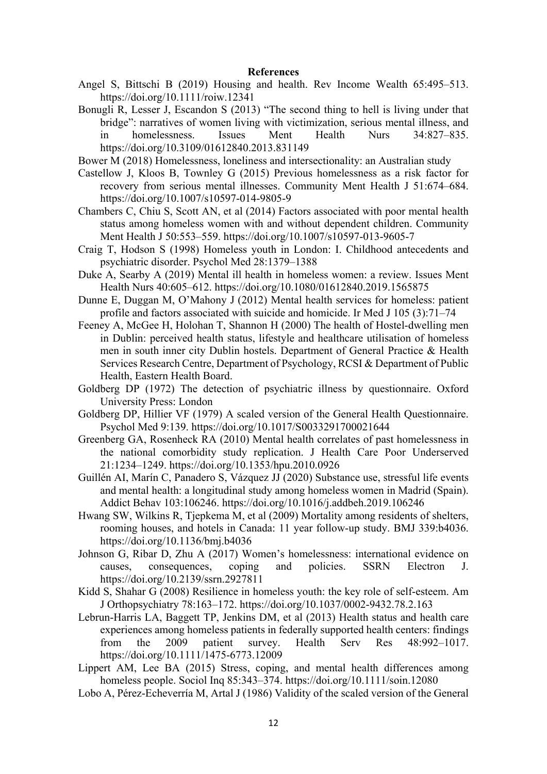### **References**

- Angel S, Bittschi B (2019) Housing and health. Rev Income Wealth 65:495–513. https://doi.org/10.1111/roiw.12341
- Bonugli R, Lesser J, Escandon S (2013) "The second thing to hell is living under that bridge": narratives of women living with victimization, serious mental illness, and in homelessness. Issues Ment Health Nurs 34:827–835. https://doi.org/10.3109/01612840.2013.831149
- Bower M (2018) Homelessness, loneliness and intersectionality: an Australian study
- Castellow J, Kloos B, Townley G (2015) Previous homelessness as a risk factor for recovery from serious mental illnesses. Community Ment Health J 51:674–684. https://doi.org/10.1007/s10597-014-9805-9
- Chambers C, Chiu S, Scott AN, et al (2014) Factors associated with poor mental health status among homeless women with and without dependent children. Community Ment Health J 50:553–559. https://doi.org/10.1007/s10597-013-9605-7
- Craig T, Hodson S (1998) Homeless youth in London: I. Childhood antecedents and psychiatric disorder. Psychol Med 28:1379–1388
- Duke A, Searby A (2019) Mental ill health in homeless women: a review. Issues Ment Health Nurs 40:605–612. https://doi.org/10.1080/01612840.2019.1565875
- Dunne E, Duggan M, O'Mahony J (2012) Mental health services for homeless: patient profile and factors associated with suicide and homicide. Ir Med J 105 (3):71–74
- Feeney A, McGee H, Holohan T, Shannon H (2000) The health of Hostel-dwelling men in Dublin: perceived health status, lifestyle and healthcare utilisation of homeless men in south inner city Dublin hostels. Department of General Practice & Health Services Research Centre, Department of Psychology, RCSI & Department of Public Health, Eastern Health Board.
- Goldberg DP (1972) The detection of psychiatric illness by questionnaire. Oxford University Press: London
- Goldberg DP, Hillier VF (1979) A scaled version of the General Health Questionnaire. Psychol Med 9:139. https://doi.org/10.1017/S0033291700021644
- Greenberg GA, Rosenheck RA (2010) Mental health correlates of past homelessness in the national comorbidity study replication. J Health Care Poor Underserved 21:1234–1249. https://doi.org/10.1353/hpu.2010.0926
- Guillén AI, Marín C, Panadero S, Vázquez JJ (2020) Substance use, stressful life events and mental health: a longitudinal study among homeless women in Madrid (Spain). Addict Behav 103:106246. https://doi.org/10.1016/j.addbeh.2019.106246
- Hwang SW, Wilkins R, Tjepkema M, et al (2009) Mortality among residents of shelters, rooming houses, and hotels in Canada: 11 year follow-up study. BMJ 339:b4036. https://doi.org/10.1136/bmj.b4036
- Johnson G, Ribar D, Zhu A (2017) Women's homelessness: international evidence on causes, consequences, coping and policies. SSRN Electron J. https://doi.org/10.2139/ssrn.2927811
- Kidd S, Shahar G (2008) Resilience in homeless youth: the key role of self-esteem. Am J Orthopsychiatry 78:163–172. https://doi.org/10.1037/0002-9432.78.2.163
- Lebrun-Harris LA, Baggett TP, Jenkins DM, et al (2013) Health status and health care experiences among homeless patients in federally supported health centers: findings from the 2009 patient survey. Health Serv Res 48:992–1017. https://doi.org/10.1111/1475-6773.12009
- Lippert AM, Lee BA (2015) Stress, coping, and mental health differences among homeless people. Sociol Inq 85:343–374. https://doi.org/10.1111/soin.12080
- Lobo A, Pérez-Echeverría M, Artal J (1986) Validity of the scaled version of the General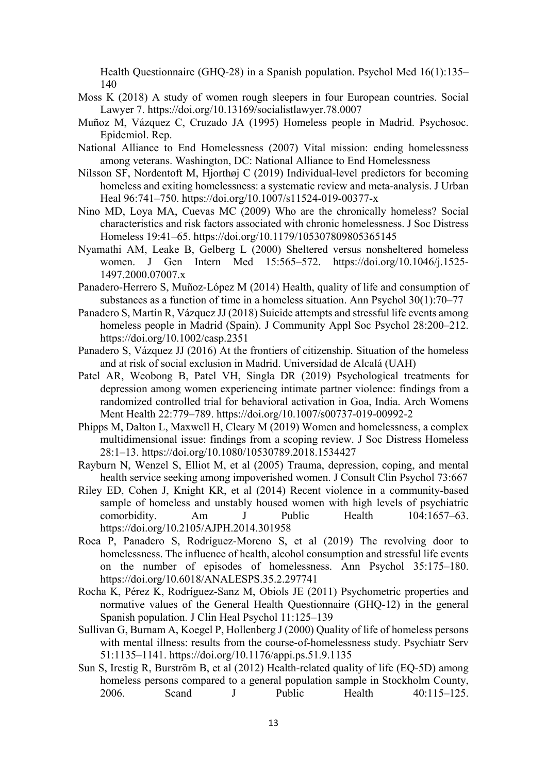Health Questionnaire (GHQ-28) in a Spanish population. Psychol Med 16(1):135– 140

- Moss K (2018) A study of women rough sleepers in four European countries. Social Lawyer 7. https://doi.org/10.13169/socialistlawyer.78.0007
- Muñoz M, Vázquez C, Cruzado JA (1995) Homeless people in Madrid. Psychosoc. Epidemiol. Rep.
- National Alliance to End Homelessness (2007) Vital mission: ending homelessness among veterans. Washington, DC: National Alliance to End Homelessness
- Nilsson SF, Nordentoft M, Hjorthøj C (2019) Individual-level predictors for becoming homeless and exiting homelessness: a systematic review and meta-analysis. J Urban Heal 96:741–750. https://doi.org/10.1007/s11524-019-00377-x
- Nino MD, Loya MA, Cuevas MC (2009) Who are the chronically homeless? Social characteristics and risk factors associated with chronic homelessness. J Soc Distress Homeless 19:41–65. https://doi.org/10.1179/105307809805365145
- Nyamathi AM, Leake B, Gelberg L (2000) Sheltered versus nonsheltered homeless women. J Gen Intern Med 15:565–572. https://doi.org/10.1046/j.1525- 1497.2000.07007.x
- Panadero-Herrero S, Muñoz-López M (2014) Health, quality of life and consumption of substances as a function of time in a homeless situation. Ann Psychol 30(1):70–77
- Panadero S, Martín R, Vázquez JJ (2018) Suicide attempts and stressful life events among homeless people in Madrid (Spain). J Community Appl Soc Psychol 28:200–212. https://doi.org/10.1002/casp.2351
- Panadero S, Vázquez JJ (2016) At the frontiers of citizenship. Situation of the homeless and at risk of social exclusion in Madrid. Universidad de Alcalá (UAH)
- Patel AR, Weobong B, Patel VH, Singla DR (2019) Psychological treatments for depression among women experiencing intimate partner violence: findings from a randomized controlled trial for behavioral activation in Goa, India. Arch Womens Ment Health 22:779–789. https://doi.org/10.1007/s00737-019-00992-2
- Phipps M, Dalton L, Maxwell H, Cleary M (2019) Women and homelessness, a complex multidimensional issue: findings from a scoping review. J Soc Distress Homeless 28:1–13. https://doi.org/10.1080/10530789.2018.1534427
- Rayburn N, Wenzel S, Elliot M, et al (2005) Trauma, depression, coping, and mental health service seeking among impoverished women. J Consult Clin Psychol 73:667
- Riley ED, Cohen J, Knight KR, et al (2014) Recent violence in a community-based sample of homeless and unstably housed women with high levels of psychiatric comorbidity. Am J Public Health 104:1657–63. https://doi.org/10.2105/AJPH.2014.301958
- Roca P, Panadero S, Rodríguez-Moreno S, et al (2019) The revolving door to homelessness. The influence of health, alcohol consumption and stressful life events on the number of episodes of homelessness. Ann Psychol 35:175–180. https://doi.org/10.6018/ANALESPS.35.2.297741
- Rocha K, Pérez K, Rodríguez-Sanz M, Obiols JE (2011) Psychometric properties and normative values of the General Health Questionnaire (GHQ-12) in the general Spanish population. J Clin Heal Psychol 11:125–139
- Sullivan G, Burnam A, Koegel P, Hollenberg J (2000) Quality of life of homeless persons with mental illness: results from the course-of-homelessness study. Psychiatr Serv 51:1135–1141. https://doi.org/10.1176/appi.ps.51.9.1135
- Sun S, Irestig R, Burström B, et al (2012) Health-related quality of life (EQ-5D) among homeless persons compared to a general population sample in Stockholm County, 2006. Scand J Public Health 40:115–125.